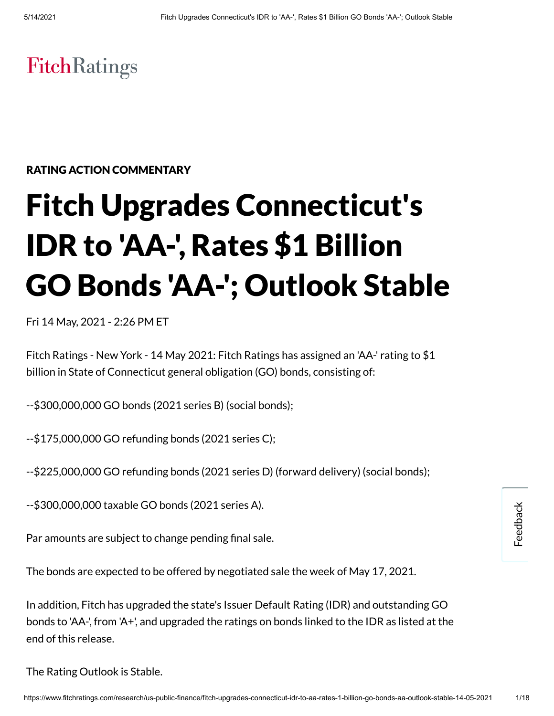# **FitchRatings**

## RATING ACTION COMMENTARY

# Fitch Upgrades Connecticut's IDR to 'AA-' , Rates \$1 Billion GO Bonds 'AA-'; Outlook Stable

Fri 14 May, 2021 - 2:26 PM ET

Fitch Ratings - New York - 14 May 2021: Fitch Ratings has assigned an 'AA-' rating to \$1 billion in State of Connecticut general obligation (GO) bonds, consisting of:

--\$300,000,000 GO bonds (2021 series B) (social bonds);

--\$175,000,000 GO refunding bonds (2021 series C);

--\$225,000,000 GO refunding bonds (2021 series D) (forward delivery) (social bonds);

--\$300,000,000 taxable GO bonds (2021 series A).

Par amounts are subject to change pending final sale.

The bonds are expected to be offered by negotiated sale the week of May 17, 2021.

In addition, Fitch has upgraded the state's Issuer Default Rating (IDR) and outstanding GO bonds to 'AA-', from 'A+', and upgraded the ratings on bonds linked to the IDR as listed at the end of this release.

The Rating Outlook is Stable.

Feedback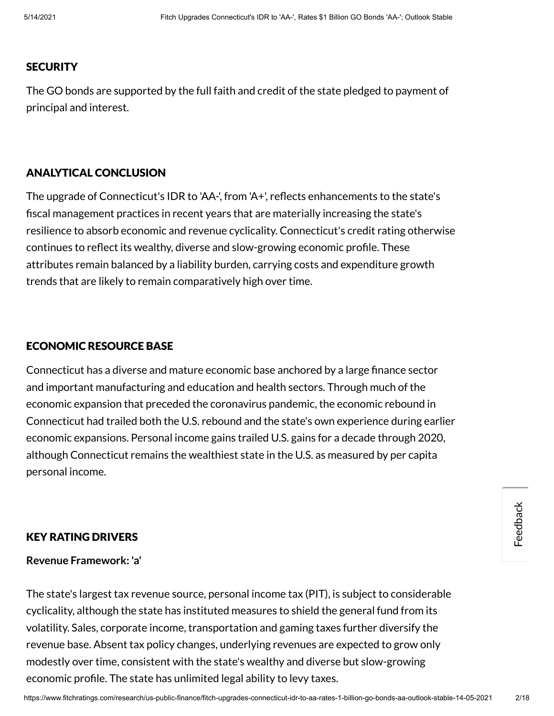#### **SECURITY**

The GO bonds are supported by the full faith and credit of the state pledged to payment of principal and interest.

#### ANALYTICAL CONCLUSION

The upgrade of Connecticut's IDR to 'AA-', from 'A+', reflects enhancements to the state's fiscal management practices in recent years that are materially increasing the state's resilience to absorb economic and revenue cyclicality. Connecticut's credit rating otherwise continues to reflect its wealthy, diverse and slow-growing economic profile. These attributes remain balanced by a liability burden, carrying costs and expenditure growth trends that are likely to remain comparatively high over time.

#### ECONOMIC RESOURCE BASE

Connecticut has a diverse and mature economic base anchored by a large finance sector and important manufacturing and education and health sectors. Through much of the economic expansion that preceded the coronavirus pandemic, the economic rebound in Connecticut had trailed both the U.S. rebound and the state's own experience during earlier economic expansions. Personal income gains trailed U.S. gains for a decade through 2020, although Connecticut remains the wealthiest state in the U.S. as measured by per capita personal income.

#### KEY RATING DRIVERS

#### **Revenue Framework: 'a'**

The state's largest tax revenue source, personal income tax (PIT), is subject to considerable cyclicality, although the state has instituted measures to shield the general fund from its volatility. Sales, corporate income, transportation and gaming taxes further diversify the revenue base. Absent tax policy changes, underlying revenues are expected to grow only modestly over time, consistent with the state's wealthy and diverse but slow-growing economic profile. The state has unlimited legal ability to levy taxes.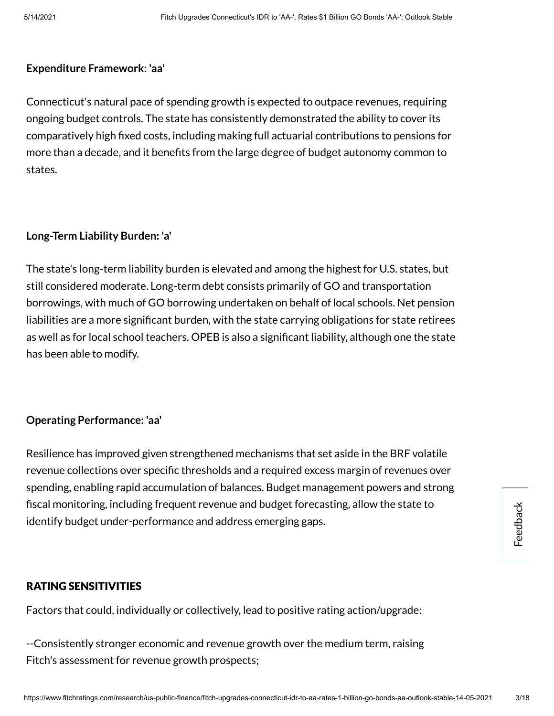#### **Expenditure Framework: 'aa'**

Connecticut's natural pace of spending growth is expected to outpace revenues, requiring ongoing budget controls. The state has consistently demonstrated the ability to cover its comparatively high xed costs, including making full actuarial contributions to pensions for more than a decade, and it benefits from the large degree of budget autonomy common to states.

#### **Long-Term Liability Burden: 'a'**

The state's long-term liability burden is elevated and among the highest for U.S. states, but still considered moderate. Long-term debt consists primarily of GO and transportation borrowings, with much of GO borrowing undertaken on behalf of local schools. Net pension liabilities are a more significant burden, with the state carrying obligations for state retirees as well as for local school teachers. OPEB is also a significant liability, although one the state has been able to modify.

#### **Operating Performance: 'aa'**

Resilience has improved given strengthened mechanisms that set aside in the BRF volatile revenue collections over specific thresholds and a required excess margin of revenues over spending, enabling rapid accumulation of balances. Budget management powers and strong fiscal monitoring, including frequent revenue and budget forecasting, allow the state to identify budget under-performance and address emerging gaps.

#### RATING SENSITIVITIES

Factors that could, individually or collectively, lead to positive rating action/upgrade:

--Consistently stronger economic and revenue growth over the medium term, raising Fitch's assessment for revenue growth prospects;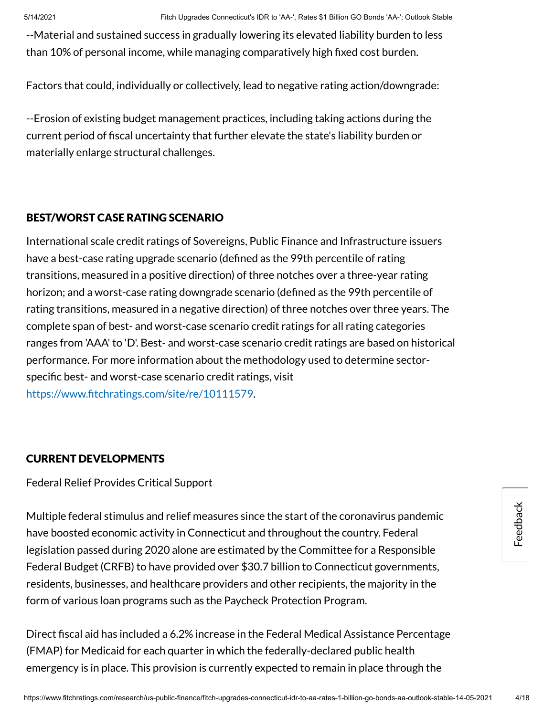--Material and sustained success in gradually lowering its elevated liability burden to less than 10% of personal income, while managing comparatively high fixed cost burden.

Factors that could, individually or collectively, lead to negative rating action/downgrade:

--Erosion of existing budget management practices, including taking actions during the current period of fiscal uncertainty that further elevate the state's liability burden or materially enlarge structural challenges.

# BEST/WORST CASE RATING SCENARIO

International scale credit ratings of Sovereigns, Public Finance and Infrastructure issuers have a best-case rating upgrade scenario (defined as the 99th percentile of rating transitions, measured in a positive direction) of three notches over a three-year rating horizon; and a worst-case rating downgrade scenario (defined as the 99th percentile of rating transitions, measured in a negative direction) of three notches over three years. The complete span of best- and worst-case scenario credit ratings for all rating categories ranges from 'AAA' to 'D'. Best- and worst-case scenario credit ratings are based on historical performance. For more information about the methodology used to determine sectorspecific best- and worst-case scenario credit ratings, visit https://www.fitchratings.com/site/re/10111579.

# CURRENT DEVELOPMENTS

Federal Relief Provides Critical Support

Multiple federal stimulus and relief measures since the start of the coronavirus pandemic have boosted economic activity in Connecticut and throughout the country. Federal legislation passed during 2020 alone are estimated by the Committee for a Responsible Federal Budget (CRFB) to have provided over \$30.7 billion to Connecticut governments, residents, businesses, and healthcare providers and other recipients, the majority in the form of various loan programs such as the Paycheck Protection Program.

Direct fiscal aid has included a 6.2% increase in the Federal Medical Assistance Percentage (FMAP) for Medicaid for each quarter in which the federally-declared public health emergency is in place. This provision is currently expected to remain in place through the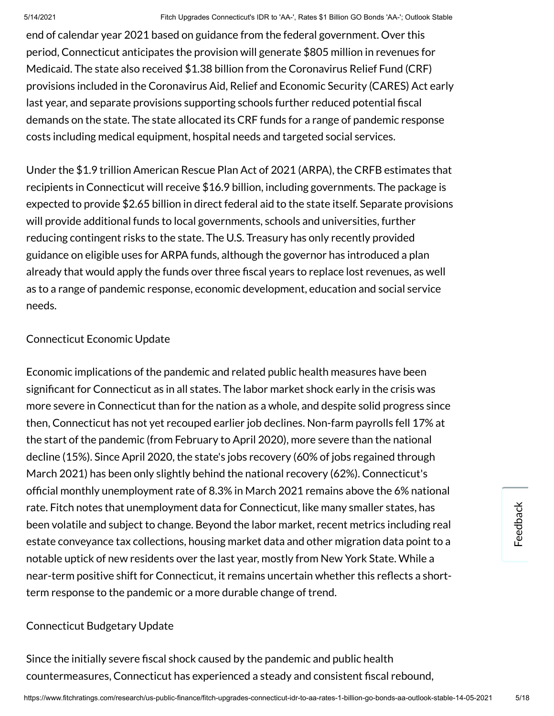end of calendar year 2021 based on guidance from the federal government. Over this period, Connecticut anticipates the provision will generate \$805 million in revenues for Medicaid. The state also received \$1.38 billion from the Coronavirus Relief Fund (CRF) provisions included in the Coronavirus Aid, Relief and Economic Security (CARES) Act early last year, and separate provisions supporting schools further reduced potential fiscal demands on the state. The state allocated its CRF funds for a range of pandemic response costs including medical equipment, hospital needs and targeted social services.

Under the \$1.9 trillion American Rescue Plan Act of 2021 (ARPA), the CRFB estimates that recipients in Connecticut will receive \$16.9 billion, including governments. The package is expected to provide \$2.65 billion in direct federal aid to the state itself. Separate provisions will provide additional funds to local governments, schools and universities, further reducing contingent risks to the state. The U.S. Treasury has only recently provided guidance on eligible uses for ARPA funds, although the governor has introduced a plan already that would apply the funds over three fiscal years to replace lost revenues, as well as to a range of pandemic response, economic development, education and social service needs.

# Connecticut Economic Update

Economic implications of the pandemic and related public health measures have been significant for Connecticut as in all states. The labor market shock early in the crisis was more severe in Connecticut than for the nation as a whole, and despite solid progress since then, Connecticut has not yet recouped earlier job declines. Non-farm payrolls fell 17% at the start of the pandemic (from February to April 2020), more severe than the national decline (15%). Since April 2020, the state's jobs recovery (60% of jobs regained through March 2021) has been only slightly behind the national recovery (62%). Connecticut's official monthly unemployment rate of 8.3% in March 2021 remains above the 6% national rate. Fitch notes that unemployment data for Connecticut, like many smaller states, has been volatile and subject to change. Beyond the labor market, recent metrics including real estate conveyance tax collections, housing market data and other migration data point to a notable uptick of new residents over the last year, mostly from New York State. While a near-term positive shift for Connecticut, it remains uncertain whether this reflects a shortterm response to the pandemic or a more durable change of trend.

# Connecticut Budgetary Update

Since the initially severe fiscal shock caused by the pandemic and public health countermeasures, Connecticut has experienced a steady and consistent fiscal rebound,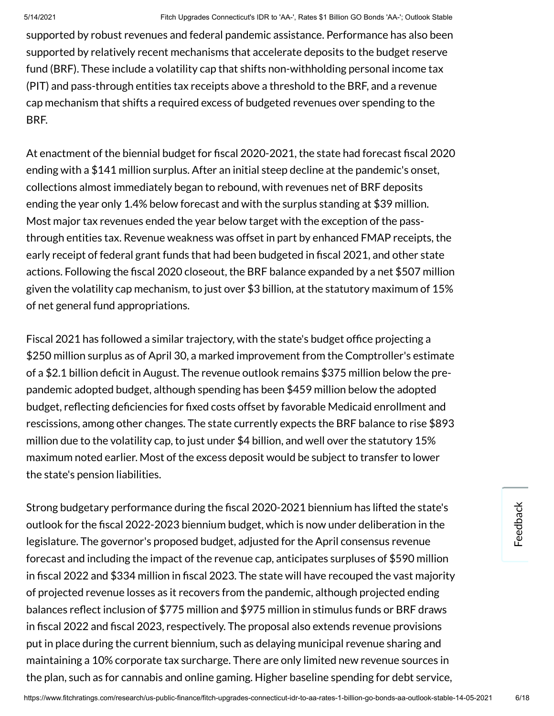supported by robust revenues and federal pandemic assistance. Performance has also been supported by relatively recent mechanisms that accelerate deposits to the budget reserve fund (BRF). These include a volatility cap that shifts non-withholding personal income tax (PIT) and pass-through entities tax receipts above a threshold to the BRF, and a revenue cap mechanism that shifts a required excess of budgeted revenues over spending to the BRF.

At enactment of the biennial budget for fiscal 2020-2021, the state had forecast fiscal 2020 ending with a \$141 million surplus. After an initial steep decline at the pandemic's onset, collections almost immediately began to rebound, with revenues net of BRF deposits ending the year only 1.4% below forecast and with the surplus standing at \$39 million. Most major tax revenues ended the year below target with the exception of the passthrough entities tax. Revenue weakness was offset in part by enhanced FMAP receipts, the early receipt of federal grant funds that had been budgeted in fiscal 2021, and other state actions. Following the fiscal 2020 closeout, the BRF balance expanded by a net \$507 million given the volatility cap mechanism, to just over \$3 billion, at the statutory maximum of 15% of net general fund appropriations.

Fiscal 2021 has followed a similar trajectory, with the state's budget office projecting a \$250 million surplus as of April 30, a marked improvement from the Comptroller's estimate of a \$2.1 billion deficit in August. The revenue outlook remains \$375 million below the prepandemic adopted budget, although spending has been \$459 million below the adopted budget, reflecting deficiencies for fixed costs offset by favorable Medicaid enrollment and rescissions, among other changes. The state currently expects the BRF balance to rise \$893 million due to the volatility cap, to just under \$4 billion, and well over the statutory 15% maximum noted earlier. Most of the excess deposit would be subject to transfer to lower the state's pension liabilities.

Strong budgetary performance during the fiscal 2020-2021 biennium has lifted the state's outlook for the fiscal 2022-2023 biennium budget, which is now under deliberation in the legislature. The governor's proposed budget, adjusted for the April consensus revenue forecast and including the impact of the revenue cap, anticipates surpluses of \$590 million in fiscal 2022 and \$334 million in fiscal 2023. The state will have recouped the vast majority of projected revenue losses as it recovers from the pandemic, although projected ending balances reflect inclusion of \$775 million and \$975 million in stimulus funds or BRF draws in fiscal 2022 and fiscal 2023, respectively. The proposal also extends revenue provisions put in place during the current biennium, such as delaying municipal revenue sharing and maintaining a 10% corporate tax surcharge. There are only limited new revenue sources in the plan, such as for cannabis and online gaming. Higher baseline spending for debt service,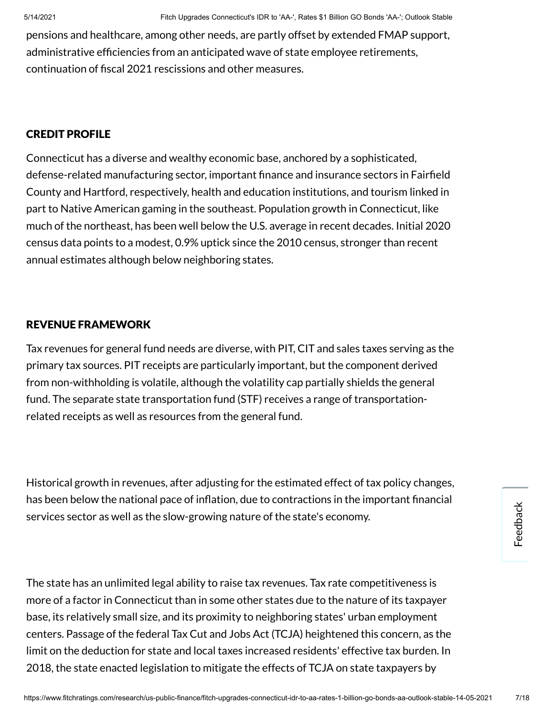pensions and healthcare, among other needs, are partly offset by extended FMAP support, administrative efficiencies from an anticipated wave of state employee retirements, continuation of fiscal 2021 rescissions and other measures.

#### CREDIT PROFILE

Connecticut has a diverse and wealthy economic base, anchored by a sophisticated, defense-related manufacturing sector, important finance and insurance sectors in Fairfield County and Hartford, respectively, health and education institutions, and tourism linked in part to Native American gaming in the southeast. Population growth in Connecticut, like much of the northeast, has been well below the U.S. average in recent decades. Initial 2020 census data points to a modest, 0.9% uptick since the 2010 census, stronger than recent annual estimates although below neighboring states.

#### REVENUE FRAMEWORK

Tax revenues for general fund needs are diverse, with PIT, CIT and sales taxes serving as the primary tax sources. PIT receipts are particularly important, but the component derived from non-withholding is volatile, although the volatility cap partially shields the general fund. The separate state transportation fund (STF) receives a range of transportationrelated receipts as well as resources from the general fund.

Historical growth in revenues, after adjusting for the estimated effect of tax policy changes, has been below the national pace of inflation, due to contractions in the important financial services sector as well as the slow-growing nature of the state's economy.

The state has an unlimited legal ability to raise tax revenues. Tax rate competitiveness is more of a factor in Connecticut than in some other states due to the nature of its taxpayer base, its relatively small size, and its proximity to neighboring states' urban employment centers. Passage of the federal Tax Cut and Jobs Act (TCJA) heightened this concern, as the limit on the deduction for state and local taxes increased residents' effective tax burden. In 2018, the state enacted legislation to mitigate the effects of TCJA on state taxpayers by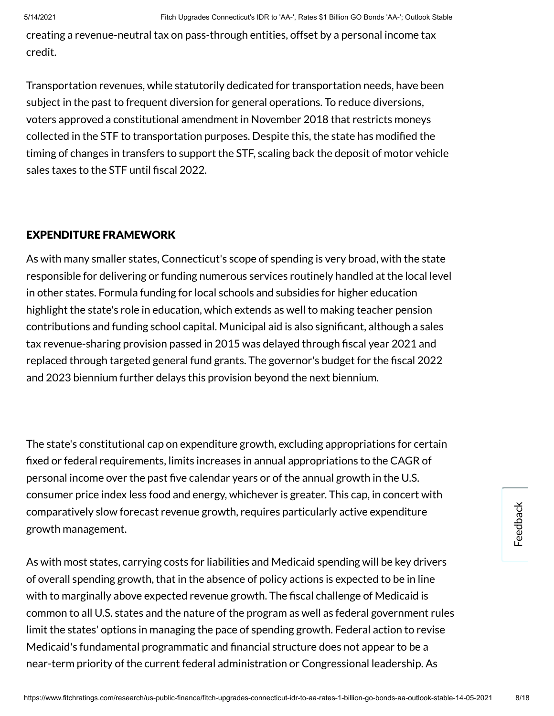creating a revenue-neutral tax on pass-through entities, offset by a personal income tax credit.

Transportation revenues, while statutorily dedicated for transportation needs, have been subject in the past to frequent diversion for general operations. To reduce diversions, voters approved a constitutional amendment in November 2018 that restricts moneys collected in the STF to transportation purposes. Despite this, the state has modified the timing of changes in transfers to support the STF, scaling back the deposit of motor vehicle sales taxes to the STF until fiscal 2022.

# EXPENDITURE FRAMEWORK

As with many smaller states, Connecticut's scope of spending is very broad, with the state responsible for delivering or funding numerous services routinely handled at the local level in other states. Formula funding for local schools and subsidies for higher education highlight the state's role in education, which extends as well to making teacher pension contributions and funding school capital. Municipal aid is also significant, although a sales tax revenue-sharing provision passed in 2015 was delayed through fiscal year 2021 and replaced through targeted general fund grants. The governor's budget for the fiscal 2022 and 2023 biennium further delays this provision beyond the next biennium.

The state's constitutional cap on expenditure growth, excluding appropriations for certain xed or federal requirements, limits increases in annual appropriations to the CAGR of personal income over the past five calendar years or of the annual growth in the U.S. consumer price index less food and energy, whichever is greater. This cap, in concert with comparatively slow forecast revenue growth, requires particularly active expenditure growth management.

As with most states, carrying costs for liabilities and Medicaid spending will be key drivers of overall spending growth, that in the absence of policy actions is expected to be in line with to marginally above expected revenue growth. The fiscal challenge of Medicaid is common to all U.S. states and the nature of the program as well as federal government rules limit the states' options in managing the pace of spending growth. Federal action to revise Medicaid's fundamental programmatic and financial structure does not appear to be a near-term priority of the current federal administration or Congressional leadership. As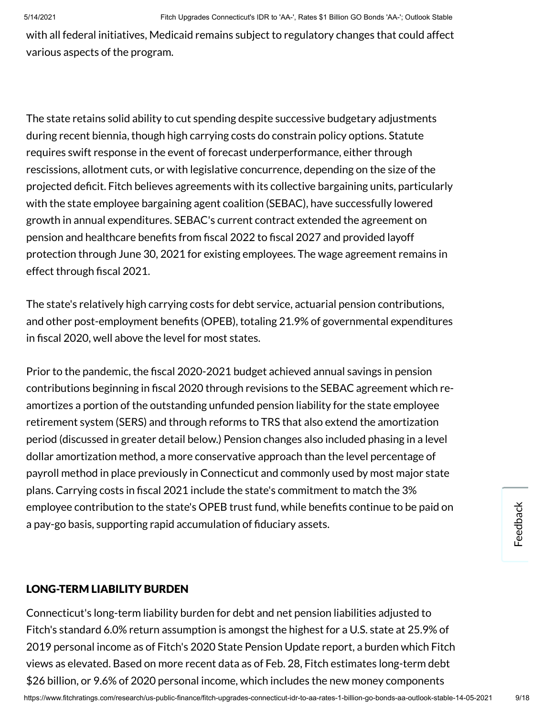with all federal initiatives, Medicaid remains subject to regulatory changes that could affect various aspects of the program.

The state retains solid ability to cut spending despite successive budgetary adjustments during recent biennia, though high carrying costs do constrain policy options. Statute requires swift response in the event of forecast underperformance, either through rescissions, allotment cuts, or with legislative concurrence, depending on the size of the projected deficit. Fitch believes agreements with its collective bargaining units, particularly with the state employee bargaining agent coalition (SEBAC), have successfully lowered growth in annual expenditures. SEBAC's current contract extended the agreement on pension and healthcare benefits from fiscal 2022 to fiscal 2027 and provided layoff protection through June 30, 2021 for existing employees. The wage agreement remains in effect through fiscal 2021.

The state's relatively high carrying costs for debt service, actuarial pension contributions, and other post-employment benefits (OPEB), totaling 21.9% of governmental expenditures in fiscal 2020, well above the level for most states.

Prior to the pandemic, the fiscal 2020-2021 budget achieved annual savings in pension contributions beginning in fiscal 2020 through revisions to the SEBAC agreement which reamortizes a portion of the outstanding unfunded pension liability for the state employee retirement system (SERS) and through reforms to TRS that also extend the amortization period (discussed in greater detail below.) Pension changes also included phasing in a level dollar amortization method, a more conservative approach than the level percentage of payroll method in place previously in Connecticut and commonly used by most major state plans. Carrying costs in fiscal 2021 include the state's commitment to match the 3% employee contribution to the state's OPEB trust fund, while benefits continue to be paid on a pay-go basis, supporting rapid accumulation of fiduciary assets.

# LONG-TERM LIABILITY BURDEN

Connecticut's long-term liability burden for debt and net pension liabilities adjusted to Fitch's standard 6.0% return assumption is amongst the highest for a U.S. state at 25.9% of 2019 personal income as of Fitch's 2020 State Pension Update report, a burden which Fitch views as elevated. Based on more recent data as of Feb. 28, Fitch estimates long-term debt \$26 billion, or 9.6% of 2020 personal income, which includes the new money components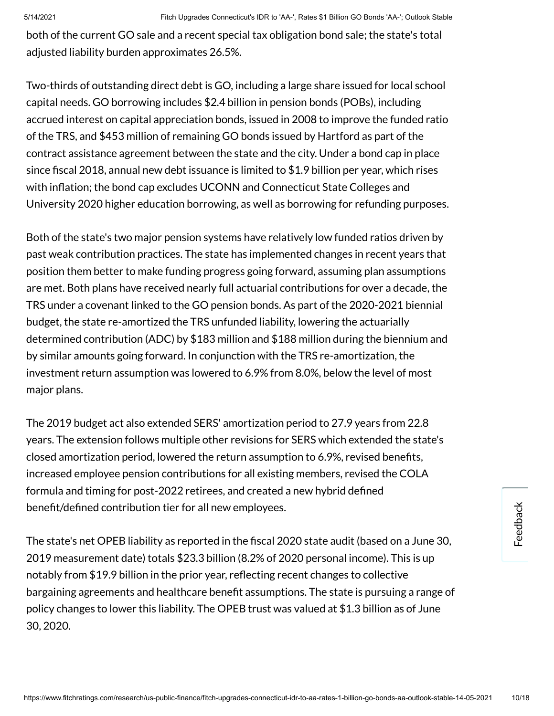both of the current GO sale and a recent special tax obligation bond sale; the state's total adjusted liability burden approximates 26.5%.

Two-thirds of outstanding direct debt is GO, including a large share issued for local school capital needs. GO borrowing includes \$2.4 billion in pension bonds (POBs), including accrued interest on capital appreciation bonds, issued in 2008 to improve the funded ratio of the TRS, and \$453 million of remaining GO bonds issued by Hartford as part of the contract assistance agreement between the state and the city. Under a bond cap in place since fiscal 2018, annual new debt issuance is limited to  $$1.9$  billion per year, which rises with inflation; the bond cap excludes UCONN and Connecticut State Colleges and University 2020 higher education borrowing, as well as borrowing for refunding purposes.

Both of the state's two major pension systems have relatively low funded ratios driven by past weak contribution practices. The state has implemented changes in recent years that position them better to make funding progress going forward, assuming plan assumptions are met. Both plans have received nearly full actuarial contributions for over a decade, the TRS under a covenant linked to the GO pension bonds. As part of the 2020-2021 biennial budget, the state re-amortized the TRS unfunded liability, lowering the actuarially determined contribution (ADC) by \$183 million and \$188 million during the biennium and by similar amounts going forward. In conjunction with the TRS re-amortization, the investment return assumption was lowered to 6.9% from 8.0%, below the level of most major plans.

The 2019 budget act also extended SERS' amortization period to 27.9 years from 22.8 years. The extension follows multiple other revisions for SERS which extended the state's closed amortization period, lowered the return assumption to 6.9%, revised benefits, increased employee pension contributions for all existing members, revised the COLA formula and timing for post-2022 retirees, and created a new hybrid defined benefit/defined contribution tier for all new employees.

The state's net OPEB liability as reported in the fiscal 2020 state audit (based on a June 30, 2019 measurement date) totals \$23.3 billion (8.2% of 2020 personal income). This is up notably from \$19.9 billion in the prior year, reflecting recent changes to collective bargaining agreements and healthcare benefit assumptions. The state is pursuing a range of policy changes to lower this liability. The OPEB trust was valued at \$1.3 billion as of June 30, 2020.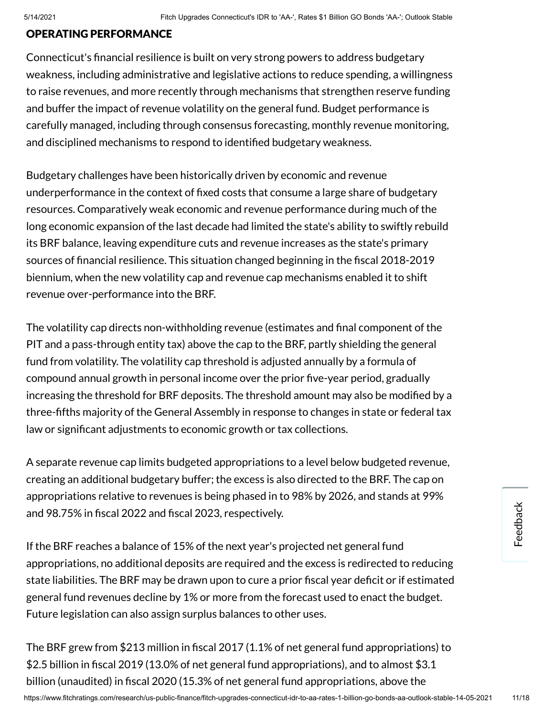#### OPERATING PERFORMANCE

Connecticut's financial resilience is built on very strong powers to address budgetary weakness, including administrative and legislative actions to reduce spending, a willingness to raise revenues, and more recently through mechanisms that strengthen reserve funding and buffer the impact of revenue volatility on the general fund. Budget performance is carefully managed, including through consensus forecasting, monthly revenue monitoring, and disciplined mechanisms to respond to identified budgetary weakness.

Budgetary challenges have been historically driven by economic and revenue underperformance in the context of fixed costs that consume a large share of budgetary resources. Comparatively weak economic and revenue performance during much of the long economic expansion of the last decade had limited the state's ability to swiftly rebuild its BRF balance, leaving expenditure cuts and revenue increases as the state's primary sources of financial resilience. This situation changed beginning in the fiscal 2018-2019 biennium, when the new volatility cap and revenue cap mechanisms enabled it to shift revenue over-performance into the BRF.

The volatility cap directs non-withholding revenue (estimates and final component of the PIT and a pass-through entity tax) above the cap to the BRF, partly shielding the general fund from volatility. The volatility cap threshold is adjusted annually by a formula of compound annual growth in personal income over the prior five-year period, gradually increasing the threshold for BRF deposits. The threshold amount may also be modified by a three-fths majority of the General Assembly in response to changes in state or federal tax law or significant adjustments to economic growth or tax collections.

A separate revenue cap limits budgeted appropriations to a level below budgeted revenue, creating an additional budgetary buffer; the excess is also directed to the BRF. The cap on appropriations relative to revenues is being phased in to 98% by 2026, and stands at 99% and 98.75% in fiscal 2022 and fiscal 2023, respectively.

If the BRF reaches a balance of 15% of the next year's projected net general fund appropriations, no additional deposits are required and the excess is redirected to reducing state liabilities. The BRF may be drawn upon to cure a prior fiscal year deficit or if estimated general fund revenues decline by 1% or more from the forecast used to enact the budget. Future legislation can also assign surplus balances to other uses.

The BRF grew from \$213 million in fiscal 2017 (1.1% of net general fund appropriations) to \$2.5 billion in fiscal 2019 (13.0% of net general fund appropriations), and to almost \$3.1 billion (unaudited) in fiscal 2020 (15.3% of net general fund appropriations, above the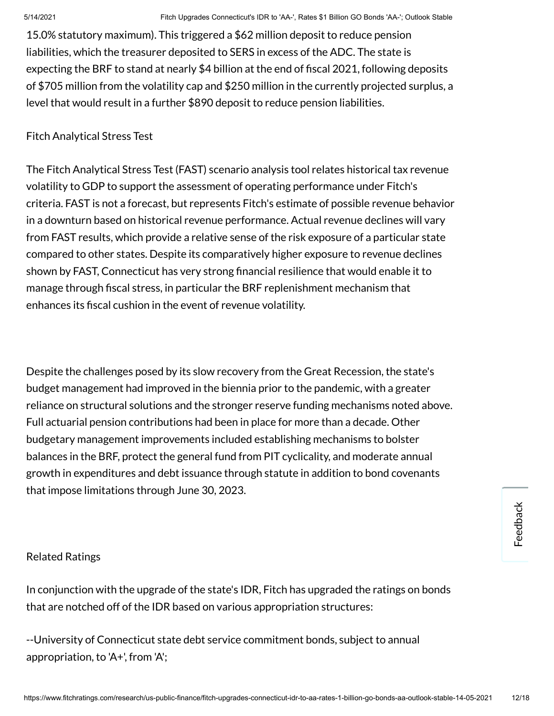15.0% statutory maximum). This triggered a \$62 million deposit to reduce pension liabilities, which the treasurer deposited to SERS in excess of the ADC. The state is expecting the BRF to stand at nearly \$4 billion at the end of fiscal 2021, following deposits of \$705 million from the volatility cap and \$250 million in the currently projected surplus, a level that would result in a further \$890 deposit to reduce pension liabilities.

## Fitch Analytical Stress Test

The Fitch Analytical Stress Test (FAST) scenario analysis tool relates historical tax revenue volatility to GDP to support the assessment of operating performance under Fitch's criteria. FAST is not a forecast, but represents Fitch's estimate of possible revenue behavior in a downturn based on historical revenue performance. Actual revenue declines will vary from FAST results, which provide a relative sense of the risk exposure of a particular state compared to other states. Despite its comparatively higher exposure to revenue declines shown by FAST, Connecticut has very strong financial resilience that would enable it to manage through fiscal stress, in particular the BRF replenishment mechanism that enhances its fiscal cushion in the event of revenue volatility.

Despite the challenges posed by its slow recovery from the Great Recession, the state's budget management had improved in the biennia prior to the pandemic, with a greater reliance on structural solutions and the stronger reserve funding mechanisms noted above. Full actuarial pension contributions had been in place for more than a decade. Other budgetary management improvements included establishing mechanisms to bolster balances in the BRF, protect the general fund from PIT cyclicality, and moderate annual growth in expenditures and debt issuance through statute in addition to bond covenants that impose limitations through June 30, 2023.

# Related Ratings

In conjunction with the upgrade of the state's IDR, Fitch has upgraded the ratings on bonds that are notched off of the IDR based on various appropriation structures:

--University of Connecticut state debt service commitment bonds, subject to annual appropriation, to 'A+', from 'A';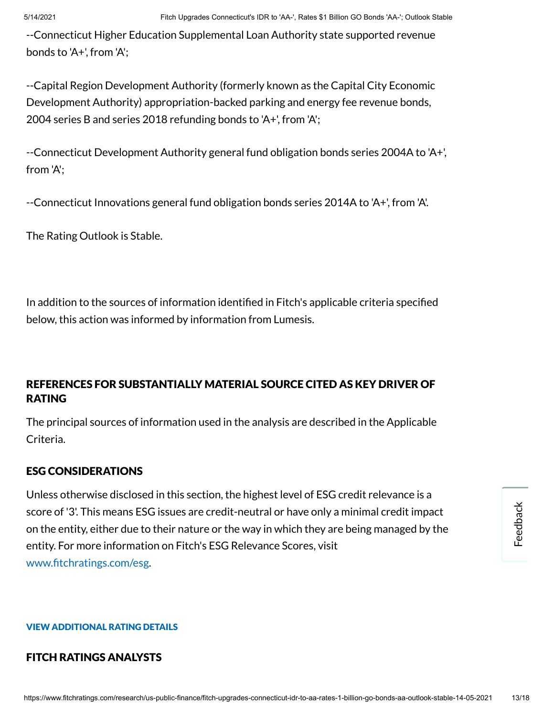--Connecticut Higher Education Supplemental Loan Authority state supported revenue bonds to 'A+', from 'A';

--Capital Region Development Authority (formerly known as the Capital City Economic Development Authority) appropriation-backed parking and energy fee revenue bonds, 2004 series B and series 2018 refunding bonds to 'A+', from 'A';

--Connecticut Development Authority general fund obligation bonds series 2004A to 'A+', from 'A';

--Connecticut Innovations general fund obligation bonds series 2014A to 'A+', from 'A'.

The Rating Outlook is Stable.

In addition to the sources of information identified in Fitch's applicable criteria specified below, this action was informed by information from Lumesis.

# REFERENCES FOR SUBSTANTIALLY MATERIAL SOURCE CITED AS KEY DRIVER OF RATING

The principal sources of information used in the analysis are described in the Applicable Criteria.

# ESG CONSIDERATIONS

Unless otherwise disclosed in this section, the highest level of ESG credit relevance is a score of '3'. This means ESG issues are credit-neutral or have only a minimal credit impact on the entity, either due to their nature or the way in which they are being managed by the entity. For more information on Fitch's ESG Relevance Scores, visit www.fitchratings.com/esg.

#### VIEW ADDITIONAL RATING DETAILS

#### FITCH RATINGS ANALYSTS

Feedback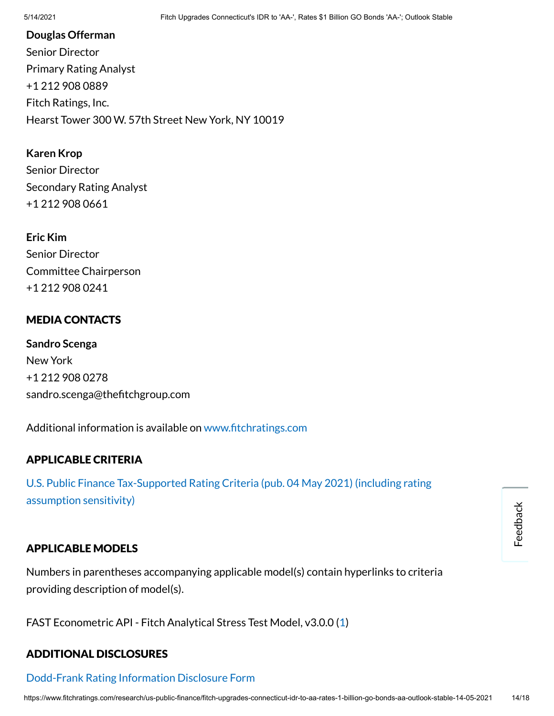#### **Douglas Offerman**

Senior Director Primary Rating Analyst +1 212 908 0889 Fitch Ratings, Inc. Hearst Tower 300 W. 57th Street New York, NY 10019

**Karen Krop**

Senior Director Secondary Rating Analyst +1 212 908 0661

**Eric Kim** Senior Director Committee Chairperson +1 212 908 0241

# MEDIA CONTACTS

**Sandro Scenga** New York +1 212 908 0278 sandro.scenga@thefitchgroup.com

Additional information is available on www.fitchratings.com

# APPLICABLE CRITERIA

U.S. Public Finance [Tax-Supported Rating](https://www.fitchratings.com/research/us-public-finance/us-public-finance-tax-supported-rating-criteria-04-05-2021) Criteria (pub. 04 May 2021) (including rating assumption sensitivity)

# APPLICABLE MODELS

Numbers in parentheses accompanying applicable model(s) contain hyperlinks to criteria providing description of model(s).

FAST Econometric API - Fitch Analytical Stress Test Model, v3.0.0 [\(1](https://www.fitchratings.com/research/us-public-finance/us-public-finance-tax-supported-rating-criteria-04-05-2021))

# ADDITIONAL DISCLOSURES

# [Dodd-Frank](https://www.fitchratings.com/research/us-public-finance/fitch-upgrades-connecticut-idr-to-aa-rates-1-billion-go-bonds-aa-outlook-stable-14-05-2021/dodd-frank-disclosure) Rating Information Disclosure Form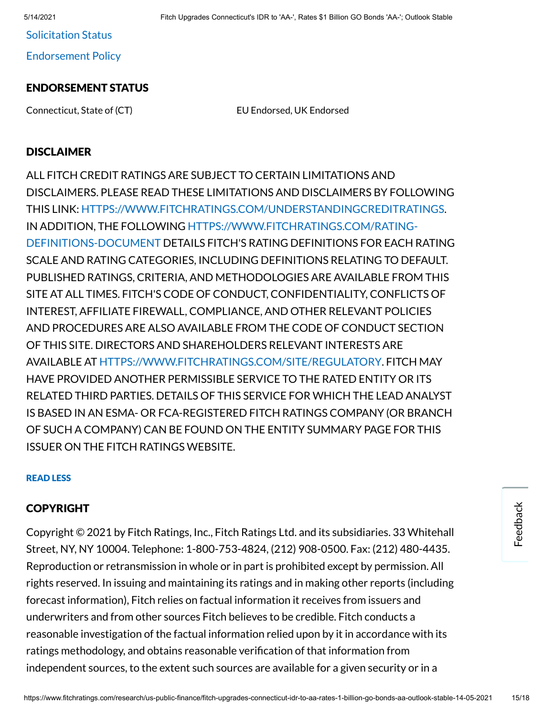Solicitation Status

[Endorsement](#page-16-0) Policy

# ENDORSEMENT STATUS

Connecticut, State of (CT) EU Endorsed, UK Endorsed

## **DISCLAIMER**

ALL FITCH CREDIT RATINGS ARE SUBJECT TO CERTAIN LIMITATIONS AND DISCLAIMERS. PLEASE READ THESE LIMITATIONS AND DISCLAIMERS BY FOLLOWING THIS LINK: [HTTPS://WWW.FITCHRATINGS.COM/UNDERSTANDINGCREDITRATINGS](https://www.fitchratings.com/UNDERSTANDINGCREDITRATINGS). IN ADDITION, THE FOLLOWING [HTTPS://WWW.FITCHRATINGS.COM/RATING-](https://www.fitchratings.com/rating-definitions-document)DEFINITIONS-DOCUMENT DETAILS FITCH'S RATING DEFINITIONS FOR EACH RATING SCALE AND RATING CATEGORIES, INCLUDING DEFINITIONS RELATING TO DEFAULT. PUBLISHED RATINGS, CRITERIA, AND METHODOLOGIES ARE AVAILABLE FROM THIS SITE AT ALL TIMES. FITCH'S CODE OF CONDUCT, CONFIDENTIALITY, CONFLICTS OF INTEREST, AFFILIATE FIREWALL, COMPLIANCE, AND OTHER RELEVANT POLICIES AND PROCEDURES ARE ALSO AVAILABLE FROM THE CODE OF CONDUCT SECTION OF THIS SITE. DIRECTORS AND SHAREHOLDERS RELEVANT INTERESTS ARE AVAILABLE AT [HTTPS://WWW.FITCHRATINGS.COM/SITE/REGULATORY](https://www.fitchratings.com/site/regulatory). FITCH MAY HAVE PROVIDED ANOTHER PERMISSIBLE SERVICE TO THE RATED ENTITY OR ITS RELATED THIRD PARTIES. DETAILS OF THIS SERVICE FOR WHICH THE LEAD ANALYST IS BASED IN AN ESMA- OR FCA-REGISTERED FITCH RATINGS COMPANY (OR BRANCH OF SUCH A COMPANY) CAN BE FOUND ON THE ENTITY SUMMARY PAGE FOR THIS ISSUER ON THE FITCH RATINGS WEBSITE.

#### READ LESS

# COPYRIGHT

Copyright © 2021 by Fitch Ratings, Inc., Fitch Ratings Ltd. and its subsidiaries. 33 Whitehall Street, NY, NY 10004. Telephone: 1-800-753-4824, (212) 908-0500. Fax: (212) 480-4435. Reproduction or retransmission in whole or in part is prohibited except by permission. All rights reserved. In issuing and maintaining its ratings and in making other reports (including forecast information), Fitch relies on factual information it receives from issuers and underwriters and from other sources Fitch believes to be credible. Fitch conducts a reasonable investigation of the factual information relied upon by it in accordance with its ratings methodology, and obtains reasonable verification of that information from independent sources, to the extent such sources are available for a given security or in a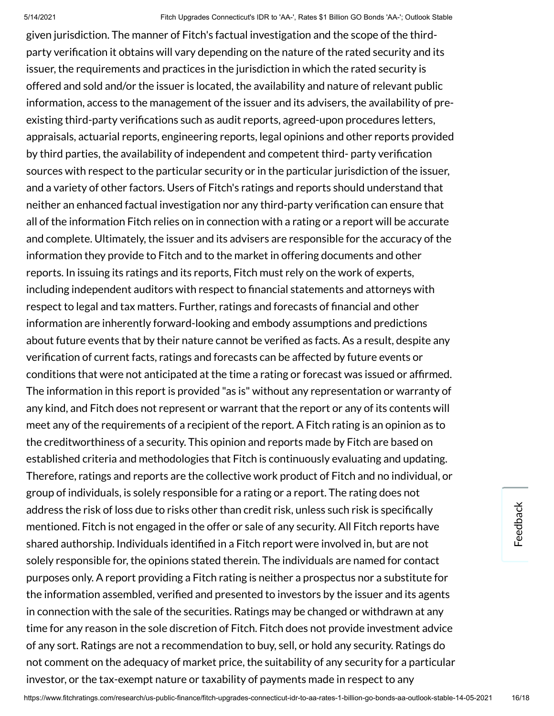given jurisdiction. The manner of Fitch's factual investigation and the scope of the thirdparty verification it obtains will vary depending on the nature of the rated security and its issuer, the requirements and practices in the jurisdiction in which the rated security is offered and sold and/or the issuer is located, the availability and nature of relevant public information, access to the management of the issuer and its advisers, the availability of preexisting third-party verifications such as audit reports, agreed-upon procedures letters, appraisals, actuarial reports, engineering reports, legal opinions and other reports provided by third parties, the availability of independent and competent third- party verification sources with respect to the particular security or in the particular jurisdiction of the issuer, and a variety of other factors. Users of Fitch's ratings and reports should understand that neither an enhanced factual investigation nor any third-party verification can ensure that all of the information Fitch relies on in connection with a rating or a report will be accurate and complete. Ultimately, the issuer and its advisers are responsible for the accuracy of the information they provide to Fitch and to the market in offering documents and other reports. In issuing its ratings and its reports, Fitch must rely on the work of experts, including independent auditors with respect to financial statements and attorneys with respect to legal and tax matters. Further, ratings and forecasts of financial and other information are inherently forward-looking and embody assumptions and predictions about future events that by their nature cannot be verified as facts. As a result, despite any verification of current facts, ratings and forecasts can be affected by future events or conditions that were not anticipated at the time a rating or forecast was issued or afrmed. The information in this report is provided "as is" without any representation or warranty of any kind, and Fitch does not represent or warrant that the report or any of its contents will meet any of the requirements of a recipient of the report. A Fitch rating is an opinion as to the creditworthiness of a security. This opinion and reports made by Fitch are based on established criteria and methodologies that Fitch is continuously evaluating and updating. Therefore, ratings and reports are the collective work product of Fitch and no individual, or group of individuals, is solely responsible for a rating or a report. The rating does not address the risk of loss due to risks other than credit risk, unless such risk is specifically mentioned. Fitch is not engaged in the offer or sale of any security. All Fitch reports have shared authorship. Individuals identified in a Fitch report were involved in, but are not solely responsible for, the opinions stated therein. The individuals are named for contact purposes only. A report providing a Fitch rating is neither a prospectus nor a substitute for the information assembled, verified and presented to investors by the issuer and its agents in connection with the sale of the securities. Ratings may be changed or withdrawn at any time for any reason in the sole discretion of Fitch. Fitch does not provide investment advice of any sort. Ratings are not a recommendation to buy, sell, or hold any security. Ratings do not comment on the adequacy of market price, the suitability of any security for a particular investor, or the tax-exempt nature or taxability of payments made in respect to any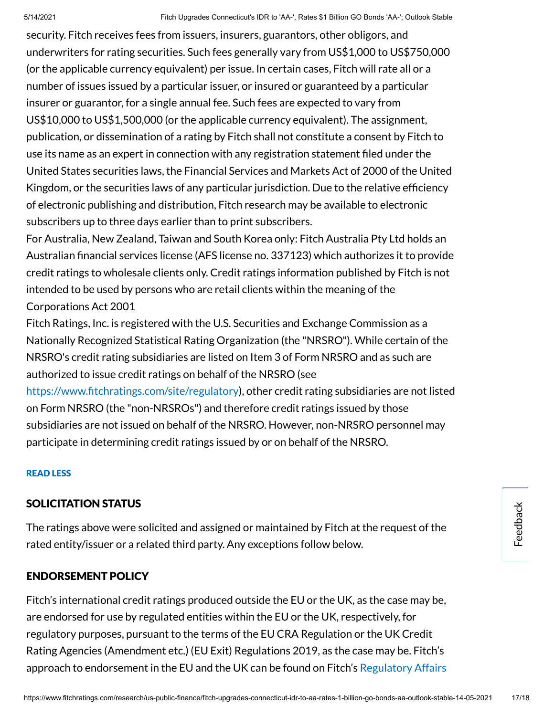security. Fitch receives fees from issuers, insurers, guarantors, other obligors, and underwriters for rating securities. Such fees generally vary from US\$1,000 to US\$750,000 (or the applicable currency equivalent) per issue. In certain cases, Fitch will rate all or a number of issues issued by a particular issuer, or insured or guaranteed by a particular insurer or guarantor, for a single annual fee. Such fees are expected to vary from US\$10,000 to US\$1,500,000 (or the applicable currency equivalent). The assignment, publication, or dissemination of a rating by Fitch shall not constitute a consent by Fitch to use its name as an expert in connection with any registration statement filed under the United States securities laws, the Financial Services and Markets Act of 2000 of the United Kingdom, or the securities laws of any particular jurisdiction. Due to the relative efficiency of electronic publishing and distribution, Fitch research may be available to electronic subscribers up to three days earlier than to print subscribers.

For Australia, New Zealand, Taiwan and South Korea only: Fitch Australia Pty Ltd holds an Australian financial services license (AFS license no. 337123) which authorizes it to provide credit ratings to wholesale clients only. Credit ratings information published by Fitch is not intended to be used by persons who are retail clients within the meaning of the Corporations Act 2001

Fitch Ratings, Inc. is registered with the U.S. Securities and Exchange Commission as a Nationally Recognized Statistical Rating Organization (the "NRSRO"). While certain of the NRSRO's credit rating subsidiaries are listed on Item 3 of Form NRSRO and as such are authorized to issue credit ratings on behalf of the NRSRO (see

https://www.fitchratings.com/site/regulatory), other credit rating subsidiaries are not listed on Form NRSRO (the "non-NRSROs") and therefore credit ratings issued by those subsidiaries are not issued on behalf of the NRSRO. However, non-NRSRO personnel may participate in determining credit ratings issued by or on behalf of the NRSRO.

#### READ LESS

#### SOLICITATION STATUS

The ratings above were solicited and assigned or maintained by Fitch at the request of the rated entity/issuer or a related third party. Any exceptions follow below.

#### <span id="page-16-0"></span>ENDORSEMENT POLICY

Fitch's international credit ratings produced outside the EU or the UK, as the case may be, are endorsed for use by regulated entities within the EU or the UK, respectively, for regulatory purposes, pursuant to the terms of the EU CRA Regulation or the UK Credit Rating Agencies (Amendment etc.) (EU Exit) Regulations 2019, as the case may be. Fitch's approach to endorsement in the EU and the UK can be found on Fitch's [Regulatory](https://www.fitchratings.com/regulatory) Affairs